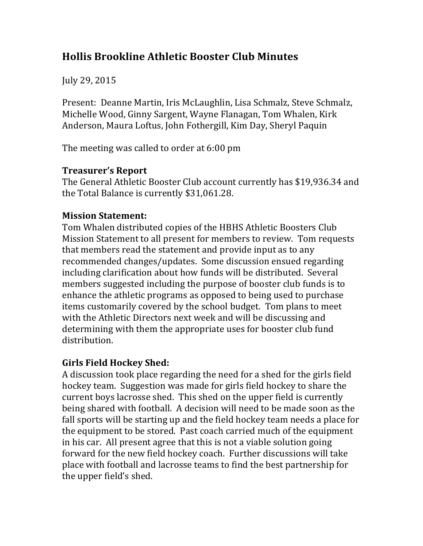# **Hollis Brookline Athletic Booster Club Minutes**

July 29, 2015

Present: Deanne Martin, Iris McLaughlin, Lisa Schmalz, Steve Schmalz, Michelle Wood, Ginny Sargent, Wayne Flanagan, Tom Whalen, Kirk Anderson, Maura Loftus, John Fothergill, Kim Day, Sheryl Paquin

The meeting was called to order at 6:00 pm

## **Treasurer's Report**

The General Athletic Booster Club account currently has \$19,936.34 and the Total Balance is currently \$31,061.28.

## **Mission Statement:**

Tom Whalen distributed copies of the HBHS Athletic Boosters Club Mission Statement to all present for members to review. Tom requests that members read the statement and provide input as to any recommended changes/updates. Some discussion ensued regarding including clarification about how funds will be distributed. Several members suggested including the purpose of booster club funds is to enhance the athletic programs as opposed to being used to purchase items customarily covered by the school budget. Tom plans to meet with the Athletic Directors next week and will be discussing and determining with them the appropriate uses for booster club fund distribution.

## **Girls Field Hockey Shed:**

A discussion took place regarding the need for a shed for the girls field hockey team. Suggestion was made for girls field hockey to share the current boys lacrosse shed. This shed on the upper field is currently being shared with football. A decision will need to be made soon as the fall sports will be starting up and the field hockey team needs a place for the equipment to be stored. Past coach carried much of the equipment in his car. All present agree that this is not a viable solution going forward for the new field hockey coach. Further discussions will take place with football and lacrosse teams to find the best partnership for the upper field's shed.